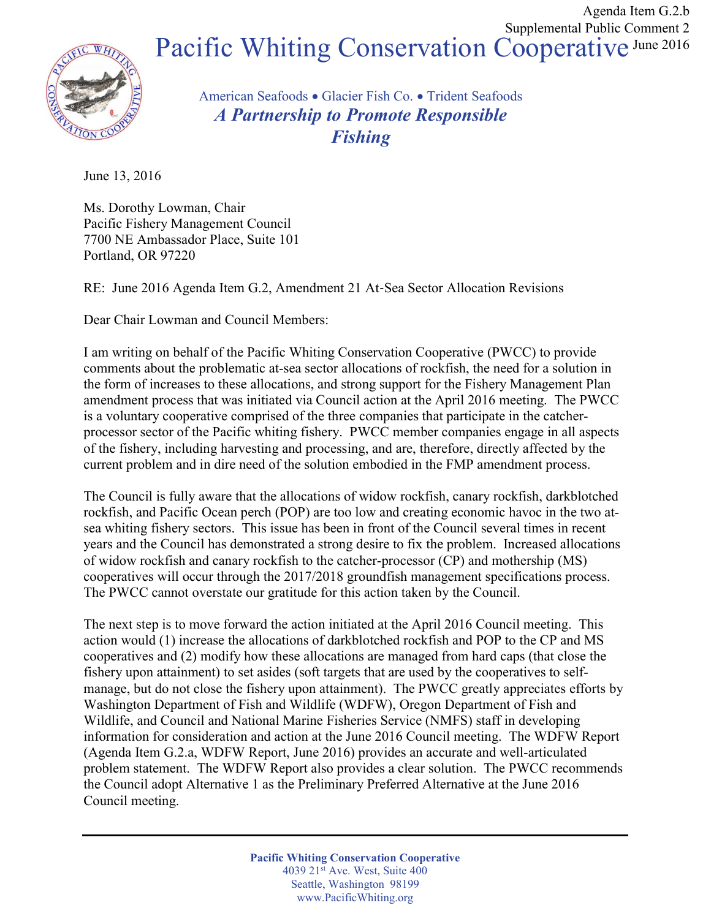

## Pacific Whiting Conservation Cooperative June 2016

American Seafoods • Glacier Fish Co. • Trident Seafoods A Partnership to Promote Responsible Fishing

June 13, 2016

Ms. Dorothy Lowman, Chair Pacific Fishery Management Council 7700 NE Ambassador Place, Suite 101 Portland, OR 97220

RE: June 2016 Agenda Item G.2, Amendment 21 At‐Sea Sector Allocation Revisions

Dear Chair Lowman and Council Members:

I am writing on behalf of the Pacific Whiting Conservation Cooperative (PWCC) to provide comments about the problematic at-sea sector allocations of rockfish, the need for a solution in the form of increases to these allocations, and strong support for the Fishery Management Plan amendment process that was initiated via Council action at the April 2016 meeting. The PWCC is a voluntary cooperative comprised of the three companies that participate in the catcherprocessor sector of the Pacific whiting fishery. PWCC member companies engage in all aspects of the fishery, including harvesting and processing, and are, therefore, directly affected by the current problem and in dire need of the solution embodied in the FMP amendment process.

The Council is fully aware that the allocations of widow rockfish, canary rockfish, darkblotched rockfish, and Pacific Ocean perch (POP) are too low and creating economic havoc in the two atsea whiting fishery sectors. This issue has been in front of the Council several times in recent years and the Council has demonstrated a strong desire to fix the problem. Increased allocations of widow rockfish and canary rockfish to the catcher-processor (CP) and mothership (MS) cooperatives will occur through the 2017/2018 groundfish management specifications process. The PWCC cannot overstate our gratitude for this action taken by the Council.

The next step is to move forward the action initiated at the April 2016 Council meeting. This action would (1) increase the allocations of darkblotched rockfish and POP to the CP and MS cooperatives and (2) modify how these allocations are managed from hard caps (that close the fishery upon attainment) to set asides (soft targets that are used by the cooperatives to selfmanage, but do not close the fishery upon attainment). The PWCC greatly appreciates efforts by Washington Department of Fish and Wildlife (WDFW), Oregon Department of Fish and Wildlife, and Council and National Marine Fisheries Service (NMFS) staff in developing information for consideration and action at the June 2016 Council meeting. The WDFW Report (Agenda Item G.2.a, WDFW Report, June 2016) provides an accurate and well-articulated problem statement. The WDFW Report also provides a clear solution. The PWCC recommends the Council adopt Alternative 1 as the Preliminary Preferred Alternative at the June 2016 Council meeting.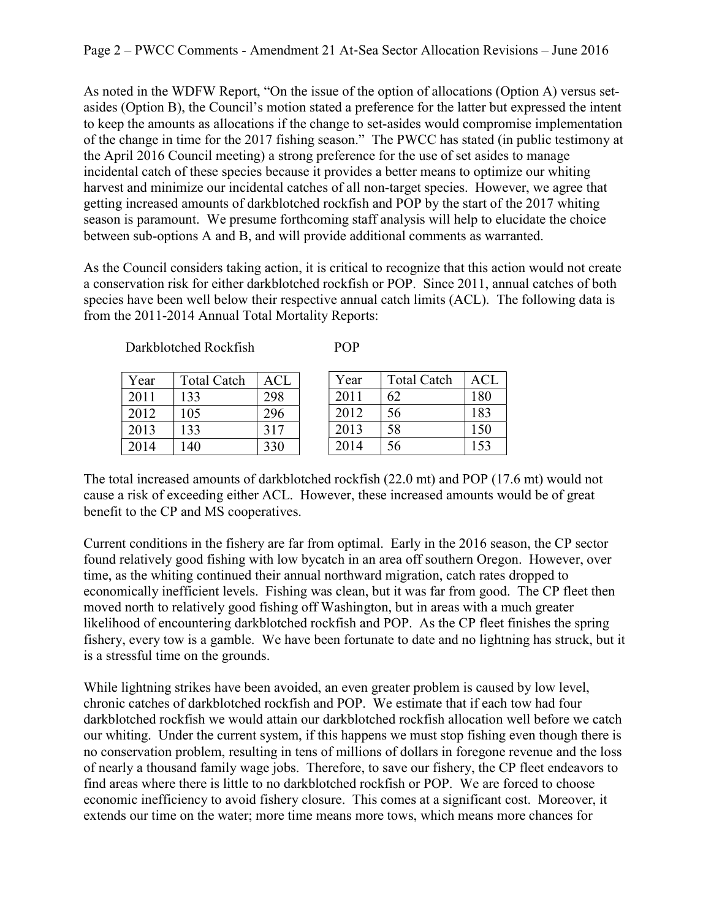As noted in the WDFW Report, "On the issue of the option of allocations (Option A) versus setasides (Option B), the Council's motion stated a preference for the latter but expressed the intent to keep the amounts as allocations if the change to set-asides would compromise implementation of the change in time for the 2017 fishing season." The PWCC has stated (in public testimony at the April 2016 Council meeting) a strong preference for the use of set asides to manage incidental catch of these species because it provides a better means to optimize our whiting harvest and minimize our incidental catches of all non-target species. However, we agree that getting increased amounts of darkblotched rockfish and POP by the start of the 2017 whiting season is paramount. We presume forthcoming staff analysis will help to elucidate the choice between sub-options A and B, and will provide additional comments as warranted.

As the Council considers taking action, it is critical to recognize that this action would not create a conservation risk for either darkblotched rockfish or POP. Since 2011, annual catches of both species have been well below their respective annual catch limits (ACL). The following data is from the 2011-2014 Annual Total Mortality Reports:

Darkblotched Rockfish

| ۰. |
|----|
|----|

| Year | <b>Total Catch</b> | ACL | Year | <b>Total Catch</b> | <b>ACL</b> |
|------|--------------------|-----|------|--------------------|------------|
| 2011 | 133                | 298 | 2011 | 62                 | 180        |
| 2012 | 105                | 296 | 2012 | 56                 | 183        |
| 2013 | 133                | 317 | 2013 | 58                 | 150        |
| 2014 | .40                | 330 | 2014 | 56                 | .53        |

The total increased amounts of darkblotched rockfish (22.0 mt) and POP (17.6 mt) would not cause a risk of exceeding either ACL. However, these increased amounts would be of great benefit to the CP and MS cooperatives.

Current conditions in the fishery are far from optimal. Early in the 2016 season, the CP sector found relatively good fishing with low bycatch in an area off southern Oregon. However, over time, as the whiting continued their annual northward migration, catch rates dropped to economically inefficient levels. Fishing was clean, but it was far from good. The CP fleet then moved north to relatively good fishing off Washington, but in areas with a much greater likelihood of encountering darkblotched rockfish and POP. As the CP fleet finishes the spring fishery, every tow is a gamble. We have been fortunate to date and no lightning has struck, but it is a stressful time on the grounds.

While lightning strikes have been avoided, an even greater problem is caused by low level, chronic catches of darkblotched rockfish and POP. We estimate that if each tow had four darkblotched rockfish we would attain our darkblotched rockfish allocation well before we catch our whiting. Under the current system, if this happens we must stop fishing even though there is no conservation problem, resulting in tens of millions of dollars in foregone revenue and the loss of nearly a thousand family wage jobs. Therefore, to save our fishery, the CP fleet endeavors to find areas where there is little to no darkblotched rockfish or POP. We are forced to choose economic inefficiency to avoid fishery closure. This comes at a significant cost. Moreover, it extends our time on the water; more time means more tows, which means more chances for